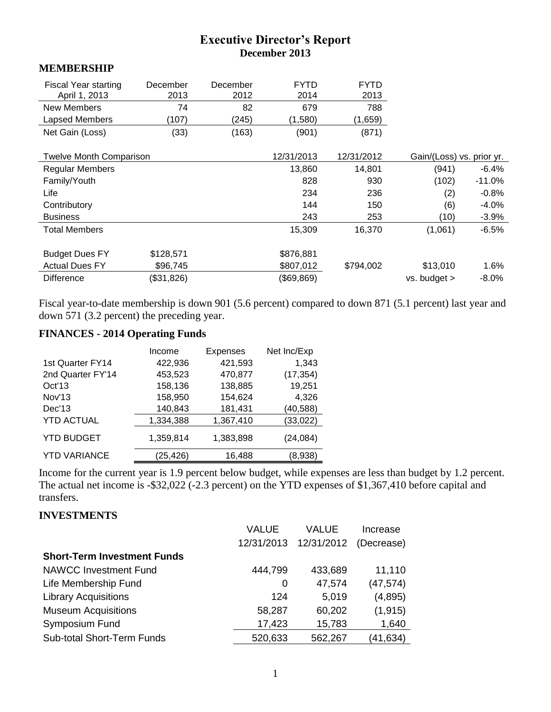# **Executive Director's Report December 2013**

#### **MEMBERSHIP**

| Fiscal Year starting<br>April 1, 2013 | December<br>2013 | December<br>2012 | <b>FYTD</b><br>2014 | <b>FYTD</b><br>2013 |                           |          |
|---------------------------------------|------------------|------------------|---------------------|---------------------|---------------------------|----------|
| New Members                           | 74               | 82               | 679                 | 788                 |                           |          |
| Lapsed Members                        | (107)            | (245)            | (1,580)             | (1,659)             |                           |          |
| Net Gain (Loss)                       | (33)             | (163)            | (901)               | (871)               |                           |          |
| <b>Twelve Month Comparison</b>        |                  |                  | 12/31/2013          | 12/31/2012          | Gain/(Loss) vs. prior yr. |          |
| <b>Regular Members</b>                |                  |                  | 13,860              | 14,801              | (941)                     | $-6.4%$  |
| Family/Youth                          |                  |                  | 828                 | 930                 | (102)                     | $-11.0%$ |
| Life                                  |                  |                  | 234                 | 236                 | (2)                       | $-0.8%$  |
| Contributory                          |                  |                  | 144                 | 150                 | (6)                       | $-4.0\%$ |
| <b>Business</b>                       |                  |                  | 243                 | 253                 | (10)                      | $-3.9%$  |
| <b>Total Members</b>                  |                  |                  | 15,309              | 16,370              | (1,061)                   | $-6.5%$  |
| <b>Budget Dues FY</b>                 | \$128,571        |                  | \$876,881           |                     |                           |          |
| <b>Actual Dues FY</b>                 | \$96,745         |                  | \$807,012           | \$794,002           | \$13,010                  | 1.6%     |
| <b>Difference</b>                     | (\$31,826)       |                  | (\$69,869)          |                     | vs. budget >              | $-8.0%$  |

Fiscal year-to-date membership is down 901 (5.6 percent) compared to down 871 (5.1 percent) last year and down 571 (3.2 percent) the preceding year.

## **FINANCES - 2014 Operating Funds**

|                     | Income    | <b>Expenses</b> | Net Inc/Exp |
|---------------------|-----------|-----------------|-------------|
| 1st Quarter FY14    | 422,936   | 421,593         | 1,343       |
| 2nd Quarter FY'14   | 453,523   | 470,877         | (17, 354)   |
| Oct' <sub>13</sub>  | 158,136   | 138,885         | 19,251      |
| Nov'13              | 158,950   | 154,624         | 4,326       |
| Dec'13              | 140,843   | 181,431         | (40, 588)   |
| <b>YTD ACTUAL</b>   | 1,334,388 | 1,367,410       | (33, 022)   |
| <b>YTD BUDGET</b>   | 1,359,814 | 1,383,898       | (24, 084)   |
| <b>YTD VARIANCE</b> | (25,426)  | 16,488          | (8,938)     |

Income for the current year is 1.9 percent below budget, while expenses are less than budget by 1.2 percent. The actual net income is -\$32,022 (-2.3 percent) on the YTD expenses of \$1,367,410 before capital and transfers.

## **INVESTMENTS**

|                                    | VALUE      | VALUE      | Increase   |
|------------------------------------|------------|------------|------------|
|                                    | 12/31/2013 | 12/31/2012 | (Decrease) |
| <b>Short-Term Investment Funds</b> |            |            |            |
| <b>NAWCC Investment Fund</b>       | 444,799    | 433,689    | 11,110     |
| Life Membership Fund               | 0          | 47,574     | (47, 574)  |
| <b>Library Acquisitions</b>        | 124        | 5,019      | (4,895)    |
| <b>Museum Acquisitions</b>         | 58,287     | 60,202     | (1, 915)   |
| Symposium Fund                     | 17,423     | 15,783     | 1,640      |
| <b>Sub-total Short-Term Funds</b>  | 520,633    | 562,267    | (41,634)   |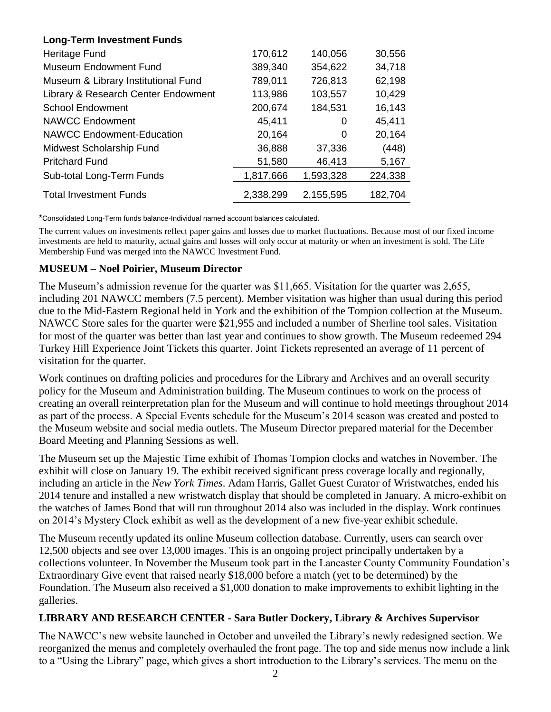| <b>Long-Term Investment Funds</b>   |           |           |         |
|-------------------------------------|-----------|-----------|---------|
| Heritage Fund                       | 170,612   | 140,056   | 30,556  |
| <b>Museum Endowment Fund</b>        | 389,340   | 354,622   | 34,718  |
| Museum & Library Institutional Fund | 789,011   | 726,813   | 62,198  |
| Library & Research Center Endowment | 113,986   | 103,557   | 10,429  |
| <b>School Endowment</b>             | 200,674   | 184,531   | 16,143  |
| <b>NAWCC Endowment</b>              | 45,411    | 0         | 45,411  |
| <b>NAWCC Endowment-Education</b>    | 20,164    | 0         | 20,164  |
| Midwest Scholarship Fund            | 36,888    | 37,336    | (448)   |
| <b>Pritchard Fund</b>               | 51,580    | 46,413    | 5,167   |
| Sub-total Long-Term Funds           | 1,817,666 | 1,593,328 | 224,338 |
| <b>Total Investment Funds</b>       | 2,338,299 | 2,155,595 | 182,704 |

\*Consolidated Long-Term funds balance-Individual named account balances calculated.

The current values on investments reflect paper gains and losses due to market fluctuations. Because most of our fixed income investments are held to maturity, actual gains and losses will only occur at maturity or when an investment is sold. The Life Membership Fund was merged into the NAWCC Investment Fund.

### **MUSEUM – Noel Poirier, Museum Director**

The Museum's admission revenue for the quarter was \$11,665. Visitation for the quarter was 2,655, including 201 NAWCC members (7.5 percent). Member visitation was higher than usual during this period due to the Mid-Eastern Regional held in York and the exhibition of the Tompion collection at the Museum. NAWCC Store sales for the quarter were \$21,955 and included a number of Sherline tool sales. Visitation for most of the quarter was better than last year and continues to show growth. The Museum redeemed 294 Turkey Hill Experience Joint Tickets this quarter. Joint Tickets represented an average of 11 percent of visitation for the quarter.

Work continues on drafting policies and procedures for the Library and Archives and an overall security policy for the Museum and Administration building. The Museum continues to work on the process of creating an overall reinterpretation plan for the Museum and will continue to hold meetings throughout 2014 as part of the process. A Special Events schedule for the Museum's 2014 season was created and posted to the Museum website and social media outlets. The Museum Director prepared material for the December Board Meeting and Planning Sessions as well.

The Museum set up the Majestic Time exhibit of Thomas Tompion clocks and watches in November. The exhibit will close on January 19. The exhibit received significant press coverage locally and regionally, including an article in the *New York Times*. Adam Harris, Gallet Guest Curator of Wristwatches, ended his 2014 tenure and installed a new wristwatch display that should be completed in January. A micro-exhibit on the watches of James Bond that will run throughout 2014 also was included in the display. Work continues on 2014's Mystery Clock exhibit as well as the development of a new five-year exhibit schedule.

The Museum recently updated its online Museum collection database. Currently, users can search over 12,500 objects and see over 13,000 images. This is an ongoing project principally undertaken by a collections volunteer. In November the Museum took part in the Lancaster County Community Foundation's Extraordinary Give event that raised nearly \$18,000 before a match (yet to be determined) by the Foundation. The Museum also received a \$1,000 donation to make improvements to exhibit lighting in the galleries.

## **LIBRARY AND RESEARCH CENTER - Sara Butler Dockery, Library & Archives Supervisor**

The NAWCC's new website launched in October and unveiled the Library's newly redesigned section. We reorganized the menus and completely overhauled the front page. The top and side menus now include a link to a "Using the Library" page, which gives a short introduction to the Library's services. The menu on the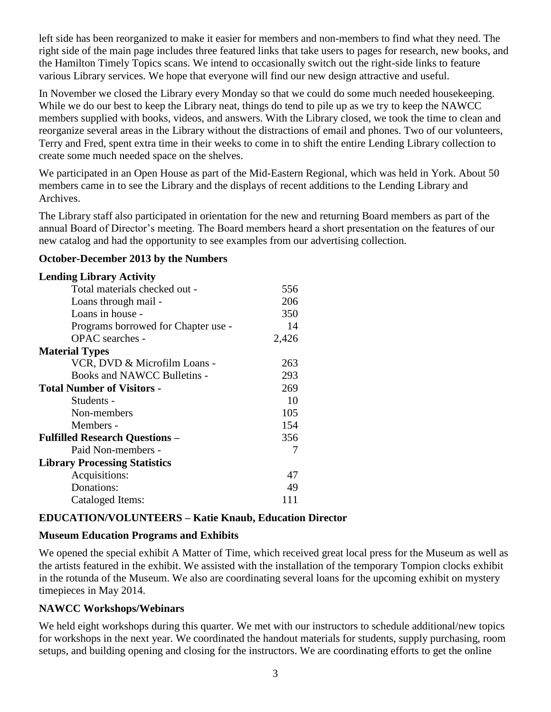left side has been reorganized to make it easier for members and non-members to find what they need. The right side of the main page includes three featured links that take users to pages for research, new books, and the Hamilton Timely Topics scans. We intend to occasionally switch out the right-side links to feature various Library services. We hope that everyone will find our new design attractive and useful.

In November we closed the Library every Monday so that we could do some much needed housekeeping. While we do our best to keep the Library neat, things do tend to pile up as we try to keep the NAWCC members supplied with books, videos, and answers. With the Library closed, we took the time to clean and reorganize several areas in the Library without the distractions of email and phones. Two of our volunteers, Terry and Fred, spent extra time in their weeks to come in to shift the entire Lending Library collection to create some much needed space on the shelves.

We participated in an Open House as part of the Mid-Eastern Regional, which was held in York. About 50 members came in to see the Library and the displays of recent additions to the Lending Library and Archives.

The Library staff also participated in orientation for the new and returning Board members as part of the annual Board of Director's meeting. The Board members heard a short presentation on the features of our new catalog and had the opportunity to see examples from our advertising collection.

### **October-December 2013 by the Numbers**

| <b>Lending Library Activity</b>       |       |
|---------------------------------------|-------|
| Total materials checked out -         | 556   |
| Loans through mail -                  | 206   |
| Loans in house -                      | 350   |
| Programs borrowed for Chapter use -   | 14    |
| <b>OPAC</b> searches -                | 2,426 |
| <b>Material Types</b>                 |       |
| VCR, DVD & Microfilm Loans -          | 263   |
| Books and NAWCC Bulletins -           | 293   |
| <b>Total Number of Visitors -</b>     | 269   |
| Students -                            | 10    |
| Non-members                           | 105   |
| Members -                             | 154   |
| <b>Fulfilled Research Questions -</b> | 356   |
| Paid Non-members -                    | 7     |
| <b>Library Processing Statistics</b>  |       |
| Acquisitions:                         | 47    |
| Donations:                            | 49    |
| Cataloged Items:                      | 111   |

## **EDUCATION/VOLUNTEERS – Katie Knaub, Education Director**

## **Museum Education Programs and Exhibits**

We opened the special exhibit A Matter of Time, which received great local press for the Museum as well as the artists featured in the exhibit. We assisted with the installation of the temporary Tompion clocks exhibit in the rotunda of the Museum. We also are coordinating several loans for the upcoming exhibit on mystery timepieces in May 2014.

## **NAWCC Workshops/Webinars**

We held eight workshops during this quarter. We met with our instructors to schedule additional/new topics for workshops in the next year. We coordinated the handout materials for students, supply purchasing, room setups, and building opening and closing for the instructors. We are coordinating efforts to get the online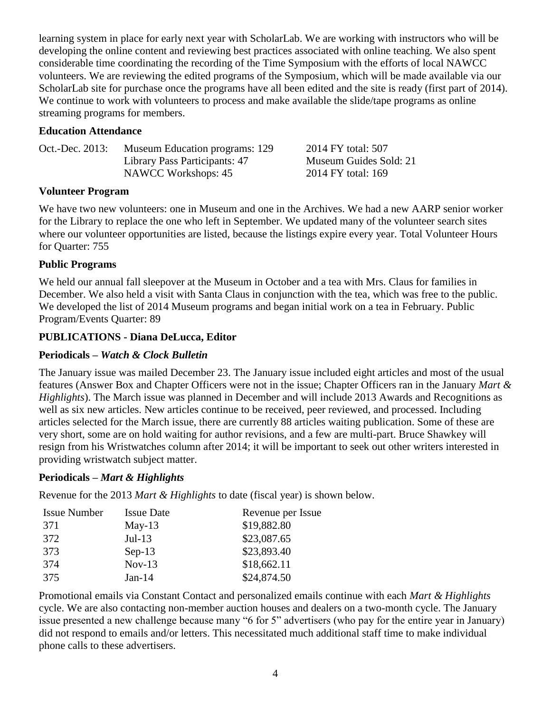learning system in place for early next year with ScholarLab. We are working with instructors who will be developing the online content and reviewing best practices associated with online teaching. We also spent considerable time coordinating the recording of the Time Symposium with the efforts of local NAWCC volunteers. We are reviewing the edited programs of the Symposium, which will be made available via our ScholarLab site for purchase once the programs have all been edited and the site is ready (first part of 2014). We continue to work with volunteers to process and make available the slide/tape programs as online streaming programs for members.

### **Education Attendance**

| Oct.-Dec. 2013: | Museum Education programs: 129 | 2014 FY total: 507     |
|-----------------|--------------------------------|------------------------|
|                 | Library Pass Participants: 47  | Museum Guides Sold: 21 |
|                 | NAWCC Workshops: 45            | 2014 FY total: 169     |

## **Volunteer Program**

We have two new volunteers: one in Museum and one in the Archives. We had a new AARP senior worker for the Library to replace the one who left in September. We updated many of the volunteer search sites where our volunteer opportunities are listed, because the listings expire every year. Total Volunteer Hours for Quarter: 755

## **Public Programs**

We held our annual fall sleepover at the Museum in October and a tea with Mrs. Claus for families in December. We also held a visit with Santa Claus in conjunction with the tea, which was free to the public. We developed the list of 2014 Museum programs and began initial work on a tea in February. Public Program/Events Quarter: 89

## **PUBLICATIONS - Diana DeLucca, Editor**

### **Periodicals –** *Watch & Clock Bulletin*

The January issue was mailed December 23. The January issue included eight articles and most of the usual features (Answer Box and Chapter Officers were not in the issue; Chapter Officers ran in the January *Mart & Highlights*). The March issue was planned in December and will include 2013 Awards and Recognitions as well as six new articles. New articles continue to be received, peer reviewed, and processed. Including articles selected for the March issue, there are currently 88 articles waiting publication. Some of these are very short, some are on hold waiting for author revisions, and a few are multi-part. Bruce Shawkey will resign from his Wristwatches column after 2014; it will be important to seek out other writers interested in providing wristwatch subject matter.

#### **Periodicals –** *Mart & Highlights*

Revenue for the 2013 *Mart & Highlights* to date (fiscal year) is shown below.

| <b>Issue Number</b> | <b>Issue Date</b> | Revenue per Issue |
|---------------------|-------------------|-------------------|
| 371                 | $May-13$          | \$19,882.80       |
| 372                 | $Jul-13$          | \$23,087.65       |
| 373                 | $Sep-13$          | \$23,893.40       |
| 374                 | $Nov-13$          | \$18,662.11       |
| 375                 | $Jan-14$          | \$24,874.50       |

Promotional emails via Constant Contact and personalized emails continue with each *Mart & Highlights*  cycle. We are also contacting non-member auction houses and dealers on a two-month cycle. The January issue presented a new challenge because many "6 for 5" advertisers (who pay for the entire year in January) did not respond to emails and/or letters. This necessitated much additional staff time to make individual phone calls to these advertisers.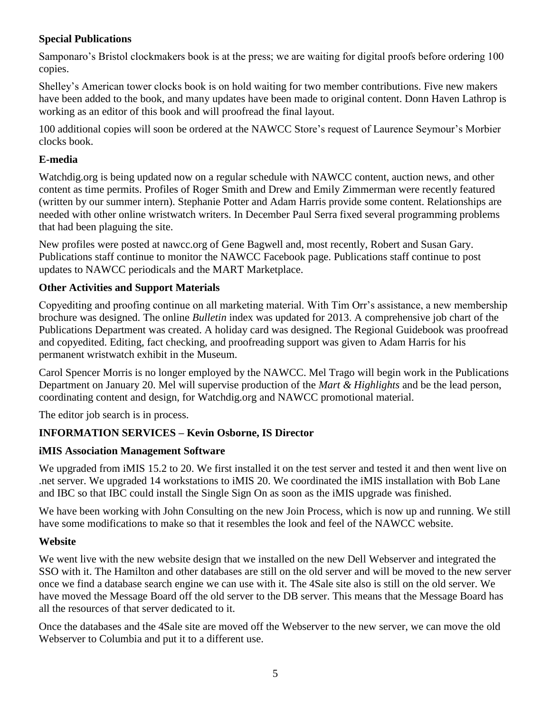## **Special Publications**

Samponaro's Bristol clockmakers book is at the press; we are waiting for digital proofs before ordering 100 copies.

Shelley's American tower clocks book is on hold waiting for two member contributions. Five new makers have been added to the book, and many updates have been made to original content. Donn Haven Lathrop is working as an editor of this book and will proofread the final layout.

100 additional copies will soon be ordered at the NAWCC Store's request of Laurence Seymour's Morbier clocks book.

## **E-media**

Watchdig.org is being updated now on a regular schedule with NAWCC content, auction news, and other content as time permits. Profiles of Roger Smith and Drew and Emily Zimmerman were recently featured (written by our summer intern). Stephanie Potter and Adam Harris provide some content. Relationships are needed with other online wristwatch writers. In December Paul Serra fixed several programming problems that had been plaguing the site.

New profiles were posted at nawcc.org of Gene Bagwell and, most recently, Robert and Susan Gary. Publications staff continue to monitor the NAWCC Facebook page. Publications staff continue to post updates to NAWCC periodicals and the MART Marketplace.

## **Other Activities and Support Materials**

Copyediting and proofing continue on all marketing material. With Tim Orr's assistance, a new membership brochure was designed. The online *Bulletin* index was updated for 2013. A comprehensive job chart of the Publications Department was created. A holiday card was designed. The Regional Guidebook was proofread and copyedited. Editing, fact checking, and proofreading support was given to Adam Harris for his permanent wristwatch exhibit in the Museum.

Carol Spencer Morris is no longer employed by the NAWCC. Mel Trago will begin work in the Publications Department on January 20. Mel will supervise production of the *Mart & Highlights* and be the lead person, coordinating content and design, for Watchdig.org and NAWCC promotional material.

The editor job search is in process.

## **INFORMATION SERVICES – Kevin Osborne, IS Director**

## **iMIS Association Management Software**

We upgraded from *iMIS* 15.2 to 20. We first installed it on the test server and tested it and then went live on .net server. We upgraded 14 workstations to iMIS 20. We coordinated the iMIS installation with Bob Lane and IBC so that IBC could install the Single Sign On as soon as the iMIS upgrade was finished.

We have been working with John Consulting on the new Join Process, which is now up and running. We still have some modifications to make so that it resembles the look and feel of the NAWCC website.

#### **Website**

We went live with the new website design that we installed on the new Dell Webserver and integrated the SSO with it. The Hamilton and other databases are still on the old server and will be moved to the new server once we find a database search engine we can use with it. The 4Sale site also is still on the old server. We have moved the Message Board off the old server to the DB server. This means that the Message Board has all the resources of that server dedicated to it.

Once the databases and the 4Sale site are moved off the Webserver to the new server, we can move the old Webserver to Columbia and put it to a different use.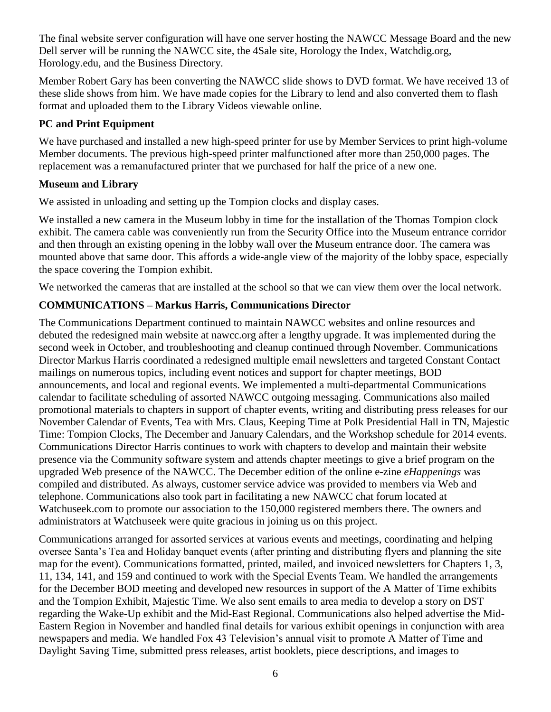The final website server configuration will have one server hosting the NAWCC Message Board and the new Dell server will be running the NAWCC site, the 4Sale site, Horology the Index, Watchdig.org, Horology.edu, and the Business Directory.

Member Robert Gary has been converting the NAWCC slide shows to DVD format. We have received 13 of these slide shows from him. We have made copies for the Library to lend and also converted them to flash format and uploaded them to the Library Videos viewable online.

## **PC and Print Equipment**

We have purchased and installed a new high-speed printer for use by Member Services to print high-volume Member documents. The previous high-speed printer malfunctioned after more than 250,000 pages. The replacement was a remanufactured printer that we purchased for half the price of a new one.

## **Museum and Library**

We assisted in unloading and setting up the Tompion clocks and display cases.

We installed a new camera in the Museum lobby in time for the installation of the Thomas Tompion clock exhibit. The camera cable was conveniently run from the Security Office into the Museum entrance corridor and then through an existing opening in the lobby wall over the Museum entrance door. The camera was mounted above that same door. This affords a wide-angle view of the majority of the lobby space, especially the space covering the Tompion exhibit.

We networked the cameras that are installed at the school so that we can view them over the local network.

# **COMMUNICATIONS – Markus Harris, Communications Director**

The Communications Department continued to maintain NAWCC websites and online resources and debuted the redesigned main website at nawcc.org after a lengthy upgrade. It was implemented during the second week in October, and troubleshooting and cleanup continued through November. Communications Director Markus Harris coordinated a redesigned multiple email newsletters and targeted Constant Contact mailings on numerous topics, including event notices and support for chapter meetings, BOD announcements, and local and regional events. We implemented a multi-departmental Communications calendar to facilitate scheduling of assorted NAWCC outgoing messaging. Communications also mailed promotional materials to chapters in support of chapter events, writing and distributing press releases for our November Calendar of Events, Tea with Mrs. Claus, Keeping Time at Polk Presidential Hall in TN, Majestic Time: Tompion Clocks, The December and January Calendars, and the Workshop schedule for 2014 events. Communications Director Harris continues to work with chapters to develop and maintain their website presence via the Community software system and attends chapter meetings to give a brief program on the upgraded Web presence of the NAWCC. The December edition of the online e-zine *eHappenings* was compiled and distributed. As always, customer service advice was provided to members via Web and telephone. Communications also took part in facilitating a new NAWCC chat forum located at Watchuseek.com to promote our association to the 150,000 registered members there. The owners and administrators at Watchuseek were quite gracious in joining us on this project.

Communications arranged for assorted services at various events and meetings, coordinating and helping oversee Santa's Tea and Holiday banquet events (after printing and distributing flyers and planning the site map for the event). Communications formatted, printed, mailed, and invoiced newsletters for Chapters 1, 3, 11, 134, 141, and 159 and continued to work with the Special Events Team. We handled the arrangements for the December BOD meeting and developed new resources in support of the A Matter of Time exhibits and the Tompion Exhibit, Majestic Time. We also sent emails to area media to develop a story on DST regarding the Wake-Up exhibit and the Mid-East Regional. Communications also helped advertise the Mid-Eastern Region in November and handled final details for various exhibit openings in conjunction with area newspapers and media. We handled Fox 43 Television's annual visit to promote A Matter of Time and Daylight Saving Time, submitted press releases, artist booklets, piece descriptions, and images to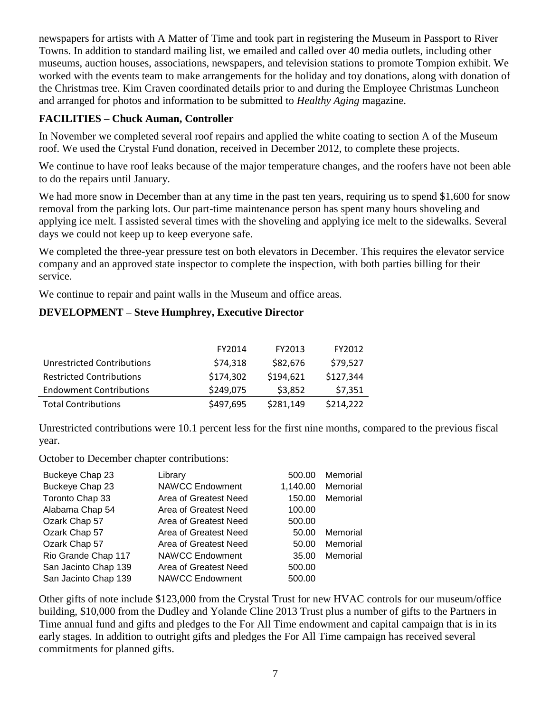newspapers for artists with A Matter of Time and took part in registering the Museum in Passport to River Towns. In addition to standard mailing list, we emailed and called over 40 media outlets, including other museums, auction houses, associations, newspapers, and television stations to promote Tompion exhibit. We worked with the events team to make arrangements for the holiday and toy donations, along with donation of the Christmas tree. Kim Craven coordinated details prior to and during the Employee Christmas Luncheon and arranged for photos and information to be submitted to *Healthy Aging* magazine.

## **FACILITIES – Chuck Auman, Controller**

In November we completed several roof repairs and applied the white coating to section A of the Museum roof. We used the Crystal Fund donation, received in December 2012, to complete these projects.

We continue to have roof leaks because of the major temperature changes, and the roofers have not been able to do the repairs until January.

We had more snow in December than at any time in the past ten years, requiring us to spend \$1,600 for snow removal from the parking lots. Our part-time maintenance person has spent many hours shoveling and applying ice melt. I assisted several times with the shoveling and applying ice melt to the sidewalks. Several days we could not keep up to keep everyone safe.

We completed the three-year pressure test on both elevators in December. This requires the elevator service company and an approved state inspector to complete the inspection, with both parties billing for their service.

We continue to repair and paint walls in the Museum and office areas.

## **DEVELOPMENT – Steve Humphrey, Executive Director**

|                                   | FY2014    | FY2013    | FY2012    |
|-----------------------------------|-----------|-----------|-----------|
| <b>Unrestricted Contributions</b> | \$74,318  | \$82,676  | \$79,527  |
| <b>Restricted Contributions</b>   | \$174,302 | \$194,621 | \$127,344 |
| <b>Endowment Contributions</b>    | \$249,075 | \$3,852   | \$7,351   |
| <b>Total Contributions</b>        | \$497,695 | \$281,149 | \$214,222 |

Unrestricted contributions were 10.1 percent less for the first nine months, compared to the previous fiscal year.

October to December chapter contributions:

| Buckeye Chap 23      | Library                | 500.00   | Memorial |
|----------------------|------------------------|----------|----------|
| Buckeye Chap 23      | <b>NAWCC Endowment</b> | 1,140.00 | Memorial |
| Toronto Chap 33      | Area of Greatest Need  | 150.00   | Memorial |
| Alabama Chap 54      | Area of Greatest Need  | 100.00   |          |
| Ozark Chap 57        | Area of Greatest Need  | 500.00   |          |
| Ozark Chap 57        | Area of Greatest Need  | 50.00    | Memorial |
| Ozark Chap 57        | Area of Greatest Need  | 50.00    | Memorial |
| Rio Grande Chap 117  | <b>NAWCC Endowment</b> | 35.00    | Memorial |
| San Jacinto Chap 139 | Area of Greatest Need  | 500.00   |          |
| San Jacinto Chap 139 | <b>NAWCC Endowment</b> | 500.00   |          |

Other gifts of note include \$123,000 from the Crystal Trust for new HVAC controls for our museum/office building, \$10,000 from the Dudley and Yolande Cline 2013 Trust plus a number of gifts to the Partners in Time annual fund and gifts and pledges to the For All Time endowment and capital campaign that is in its early stages. In addition to outright gifts and pledges the For All Time campaign has received several commitments for planned gifts.